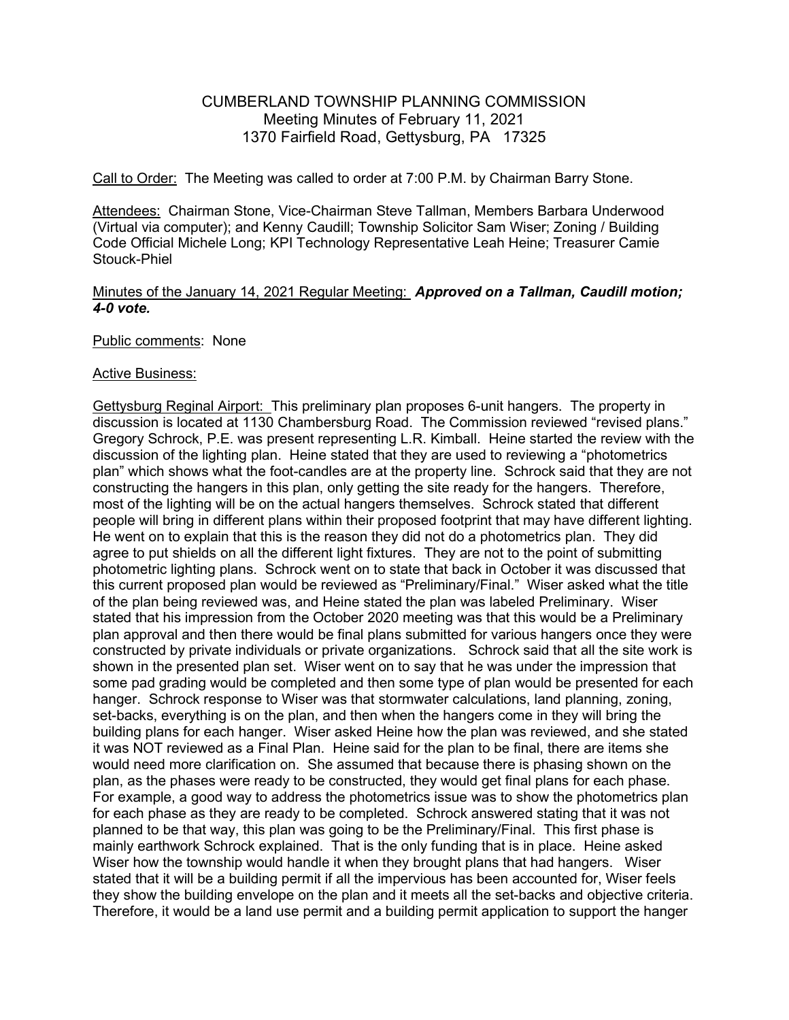# CUMBERLAND TOWNSHIP PLANNING COMMISSION Meeting Minutes of February 11, 2021 1370 Fairfield Road, Gettysburg, PA 17325

Call to Order: The Meeting was called to order at 7:00 P.M. by Chairman Barry Stone.

Attendees: Chairman Stone, Vice-Chairman Steve Tallman, Members Barbara Underwood (Virtual via computer); and Kenny Caudill; Township Solicitor Sam Wiser; Zoning / Building Code Official Michele Long; KPI Technology Representative Leah Heine; Treasurer Camie Stouck-Phiel

# Minutes of the January 14, 2021 Regular Meeting: Approved on a Tallman, Caudill motion; 4-0 vote.

# Public comments: None

#### Active Business:

Gettysburg Reginal Airport: This preliminary plan proposes 6-unit hangers. The property in discussion is located at 1130 Chambersburg Road. The Commission reviewed "revised plans." Gregory Schrock, P.E. was present representing L.R. Kimball. Heine started the review with the discussion of the lighting plan. Heine stated that they are used to reviewing a "photometrics plan" which shows what the foot-candles are at the property line. Schrock said that they are not constructing the hangers in this plan, only getting the site ready for the hangers. Therefore, most of the lighting will be on the actual hangers themselves. Schrock stated that different people will bring in different plans within their proposed footprint that may have different lighting. He went on to explain that this is the reason they did not do a photometrics plan. They did agree to put shields on all the different light fixtures. They are not to the point of submitting photometric lighting plans. Schrock went on to state that back in October it was discussed that this current proposed plan would be reviewed as "Preliminary/Final." Wiser asked what the title of the plan being reviewed was, and Heine stated the plan was labeled Preliminary. Wiser stated that his impression from the October 2020 meeting was that this would be a Preliminary plan approval and then there would be final plans submitted for various hangers once they were constructed by private individuals or private organizations. Schrock said that all the site work is shown in the presented plan set. Wiser went on to say that he was under the impression that some pad grading would be completed and then some type of plan would be presented for each hanger. Schrock response to Wiser was that stormwater calculations, land planning, zoning, set-backs, everything is on the plan, and then when the hangers come in they will bring the building plans for each hanger. Wiser asked Heine how the plan was reviewed, and she stated it was NOT reviewed as a Final Plan. Heine said for the plan to be final, there are items she would need more clarification on. She assumed that because there is phasing shown on the plan, as the phases were ready to be constructed, they would get final plans for each phase. For example, a good way to address the photometrics issue was to show the photometrics plan for each phase as they are ready to be completed. Schrock answered stating that it was not planned to be that way, this plan was going to be the Preliminary/Final. This first phase is mainly earthwork Schrock explained. That is the only funding that is in place. Heine asked Wiser how the township would handle it when they brought plans that had hangers. Wiser stated that it will be a building permit if all the impervious has been accounted for, Wiser feels they show the building envelope on the plan and it meets all the set-backs and objective criteria. Therefore, it would be a land use permit and a building permit application to support the hanger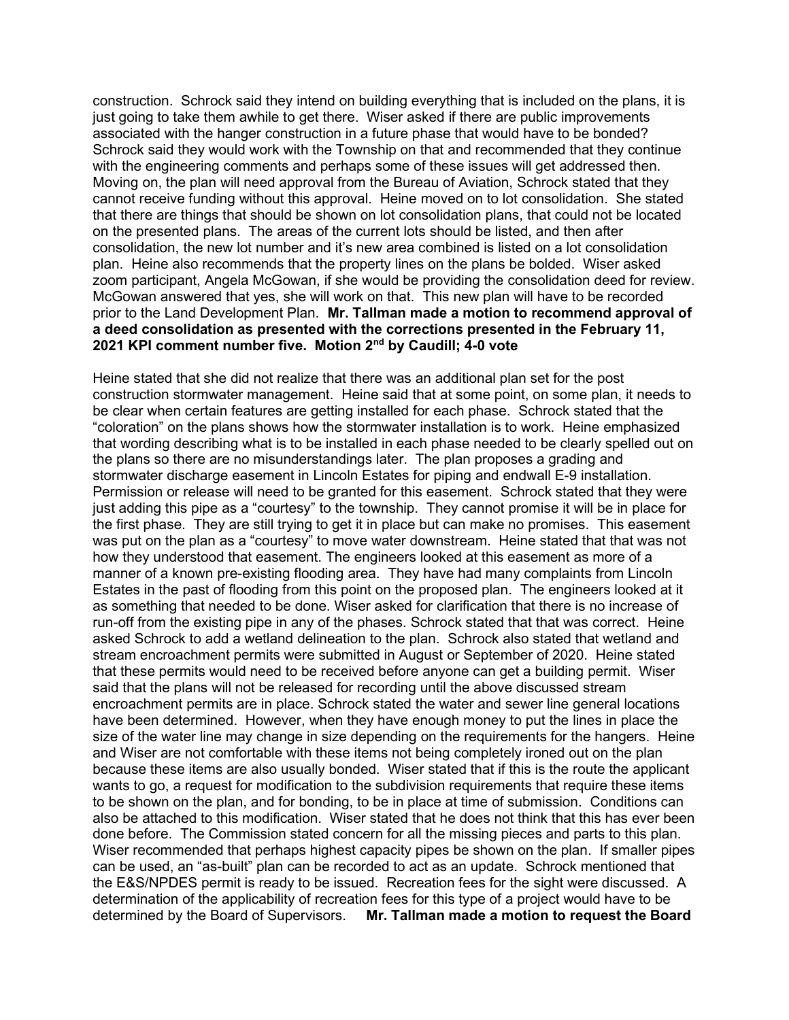construction. Schrock said they intend on building everything that is included on the plans, it is just going to take them awhile to get there. Wiser asked if there are public improvements associated with the hanger construction in a future phase that would have to be bonded? Schrock said they would work with the Township on that and recommended that they continue with the engineering comments and perhaps some of these issues will get addressed then. Moving on, the plan will need approval from the Bureau of Aviation, Schrock stated that they cannot receive funding without this approval. Heine moved on to lot consolidation. She stated that there are things that should be shown on lot consolidation plans, that could not be located on the presented plans. The areas of the current lots should be listed, and then after consolidation, the new lot number and it's new area combined is listed on a lot consolidation plan. Heine also recommends that the property lines on the plans be bolded. Wiser asked zoom participant, Angela McGowan, if she would be providing the consolidation deed for review. McGowan answered that yes, she will work on that. This new plan will have to be recorded prior to the Land Development Plan. Mr. Tallman made a motion to recommend approval of a deed consolidation as presented with the corrections presented in the February 11, 2021 KPI comment number five. Motion 2<sup>nd</sup> by Caudill; 4-0 vote

Heine stated that she did not realize that there was an additional plan set for the post construction stormwater management. Heine said that at some point, on some plan, it needs to be clear when certain features are getting installed for each phase. Schrock stated that the "coloration" on the plans shows how the stormwater installation is to work. Heine emphasized that wording describing what is to be installed in each phase needed to be clearly spelled out on the plans so there are no misunderstandings later. The plan proposes a grading and stormwater discharge easement in Lincoln Estates for piping and endwall E-9 installation. Permission or release will need to be granted for this easement. Schrock stated that they were just adding this pipe as a "courtesy" to the township. They cannot promise it will be in place for the first phase. They are still trying to get it in place but can make no promises. This easement was put on the plan as a "courtesy" to move water downstream. Heine stated that that was not how they understood that easement. The engineers looked at this easement as more of a manner of a known pre-existing flooding area. They have had many complaints from Lincoln Estates in the past of flooding from this point on the proposed plan. The engineers looked at it as something that needed to be done. Wiser asked for clarification that there is no increase of run-off from the existing pipe in any of the phases. Schrock stated that that was correct. Heine asked Schrock to add a wetland delineation to the plan. Schrock also stated that wetland and stream encroachment permits were submitted in August or September of 2020. Heine stated that these permits would need to be received before anyone can get a building permit. Wiser said that the plans will not be released for recording until the above discussed stream encroachment permits are in place. Schrock stated the water and sewer line general locations have been determined. However, when they have enough money to put the lines in place the size of the water line may change in size depending on the requirements for the hangers. Heine and Wiser are not comfortable with these items not being completely ironed out on the plan because these items are also usually bonded. Wiser stated that if this is the route the applicant wants to go, a request for modification to the subdivision requirements that require these items to be shown on the plan, and for bonding, to be in place at time of submission. Conditions can also be attached to this modification. Wiser stated that he does not think that this has ever been done before. The Commission stated concern for all the missing pieces and parts to this plan. Wiser recommended that perhaps highest capacity pipes be shown on the plan. If smaller pipes can be used, an "as-built" plan can be recorded to act as an update. Schrock mentioned that the E&S/NPDES permit is ready to be issued. Recreation fees for the sight were discussed. A determination of the applicability of recreation fees for this type of a project would have to be determined by the Board of Supervisors. Mr. Tallman made a motion to request the Board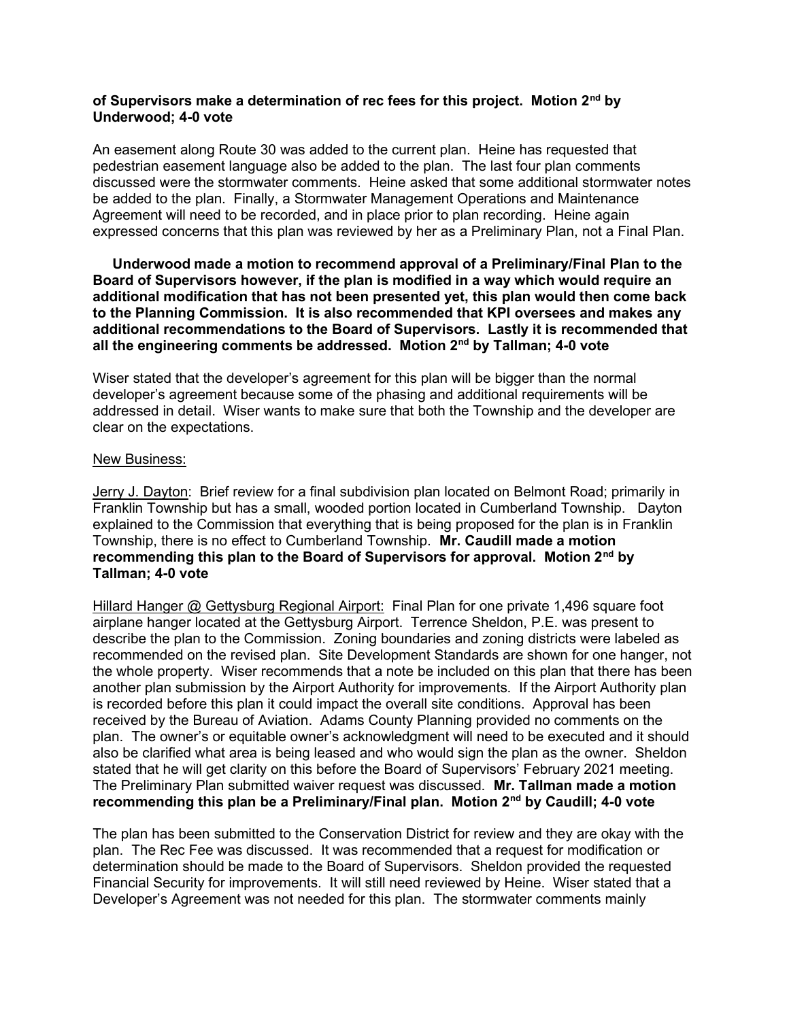# of Supervisors make a determination of rec fees for this project. Motion 2<sup>nd</sup> by Underwood; 4-0 vote

An easement along Route 30 was added to the current plan. Heine has requested that pedestrian easement language also be added to the plan. The last four plan comments discussed were the stormwater comments. Heine asked that some additional stormwater notes be added to the plan. Finally, a Stormwater Management Operations and Maintenance Agreement will need to be recorded, and in place prior to plan recording. Heine again expressed concerns that this plan was reviewed by her as a Preliminary Plan, not a Final Plan.

 Underwood made a motion to recommend approval of a Preliminary/Final Plan to the Board of Supervisors however, if the plan is modified in a way which would require an additional modification that has not been presented yet, this plan would then come back to the Planning Commission. It is also recommended that KPI oversees and makes any additional recommendations to the Board of Supervisors. Lastly it is recommended that all the engineering comments be addressed. Motion 2<sup>nd</sup> by Tallman; 4-0 vote

Wiser stated that the developer's agreement for this plan will be bigger than the normal developer's agreement because some of the phasing and additional requirements will be addressed in detail. Wiser wants to make sure that both the Township and the developer are clear on the expectations.

# New Business:

Jerry J. Dayton: Brief review for a final subdivision plan located on Belmont Road; primarily in Franklin Township but has a small, wooded portion located in Cumberland Township. Dayton explained to the Commission that everything that is being proposed for the plan is in Franklin Township, there is no effect to Cumberland Township. Mr. Caudill made a motion recommending this plan to the Board of Supervisors for approval. Motion 2<sup>nd</sup> by Tallman; 4-0 vote

Hillard Hanger @ Gettysburg Regional Airport: Final Plan for one private 1,496 square foot airplane hanger located at the Gettysburg Airport. Terrence Sheldon, P.E. was present to describe the plan to the Commission. Zoning boundaries and zoning districts were labeled as recommended on the revised plan. Site Development Standards are shown for one hanger, not the whole property. Wiser recommends that a note be included on this plan that there has been another plan submission by the Airport Authority for improvements. If the Airport Authority plan is recorded before this plan it could impact the overall site conditions. Approval has been received by the Bureau of Aviation. Adams County Planning provided no comments on the plan. The owner's or equitable owner's acknowledgment will need to be executed and it should also be clarified what area is being leased and who would sign the plan as the owner. Sheldon stated that he will get clarity on this before the Board of Supervisors' February 2021 meeting. The Preliminary Plan submitted waiver request was discussed. Mr. Tallman made a motion recommending this plan be a Preliminary/Final plan. Motion 2<sup>nd</sup> by Caudill; 4-0 vote

The plan has been submitted to the Conservation District for review and they are okay with the plan. The Rec Fee was discussed. It was recommended that a request for modification or determination should be made to the Board of Supervisors. Sheldon provided the requested Financial Security for improvements. It will still need reviewed by Heine. Wiser stated that a Developer's Agreement was not needed for this plan. The stormwater comments mainly